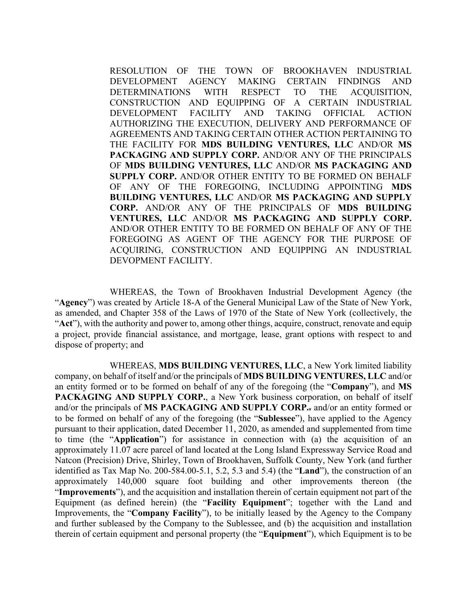RESOLUTION OF THE TOWN OF BROOKHAVEN INDUSTRIAL DEVELOPMENT AGENCY MAKING CERTAIN FINDINGS AND DETERMINATIONS WITH RESPECT TO THE ACQUISITION, CONSTRUCTION AND EQUIPPING OF A CERTAIN INDUSTRIAL DEVELOPMENT FACILITY AND TAKING OFFICIAL ACTION AUTHORIZING THE EXECUTION, DELIVERY AND PERFORMANCE OF AGREEMENTS AND TAKING CERTAIN OTHER ACTION PERTAINING TO THE FACILITY FOR **MDS BUILDING VENTURES, LLC** AND/OR **MS PACKAGING AND SUPPLY CORP.** AND/OR ANY OF THE PRINCIPALS OF **MDS BUILDING VENTURES, LLC** AND/OR **MS PACKAGING AND SUPPLY CORP.** AND/OR OTHER ENTITY TO BE FORMED ON BEHALF OF ANY OF THE FOREGOING, INCLUDING APPOINTING **MDS BUILDING VENTURES, LLC** AND/OR **MS PACKAGING AND SUPPLY CORP.** AND/OR ANY OF THE PRINCIPALS OF **MDS BUILDING VENTURES, LLC** AND/OR **MS PACKAGING AND SUPPLY CORP.** AND/OR OTHER ENTITY TO BE FORMED ON BEHALF OF ANY OF THE FOREGOING AS AGENT OF THE AGENCY FOR THE PURPOSE OF ACQUIRING, CONSTRUCTION AND EQUIPPING AN INDUSTRIAL DEVOPMENT FACILITY.

 WHEREAS, the Town of Brookhaven Industrial Development Agency (the "**Agency**") was created by Article 18-A of the General Municipal Law of the State of New York, as amended, and Chapter 358 of the Laws of 1970 of the State of New York (collectively, the "**Act**"), with the authority and power to, among other things, acquire, construct, renovate and equip a project, provide financial assistance, and mortgage, lease, grant options with respect to and dispose of property; and

 WHEREAS, **MDS BUILDING VENTURES, LLC**, a New York limited liability company, on behalf of itself and/or the principals of **MDS BUILDING VENTURES, LLC** and/or an entity formed or to be formed on behalf of any of the foregoing (the "**Company**"), and **MS PACKAGING AND SUPPLY CORP.**, a New York business corporation, on behalf of itself and/or the principals of **MS PACKAGING AND SUPPLY CORP..** and/or an entity formed or to be formed on behalf of any of the foregoing (the "**Sublessee**"), have applied to the Agency pursuant to their application, dated December 11, 2020, as amended and supplemented from time to time (the "**Application**") for assistance in connection with (a) the acquisition of an approximately 11.07 acre parcel of land located at the Long Island Expressway Service Road and Natcon (Precision) Drive, Shirley, Town of Brookhaven, Suffolk County, New York (and further identified as Tax Map No. 200-584.00-5.1, 5.2, 5.3 and 5.4) (the "**Land**"), the construction of an approximately 140,000 square foot building and other improvements thereon (the "**Improvements**"), and the acquisition and installation therein of certain equipment not part of the Equipment (as defined herein) (the "**Facility Equipment**"; together with the Land and Improvements, the "**Company Facility**"), to be initially leased by the Agency to the Company and further subleased by the Company to the Sublessee, and (b) the acquisition and installation therein of certain equipment and personal property (the "**Equipment**"), which Equipment is to be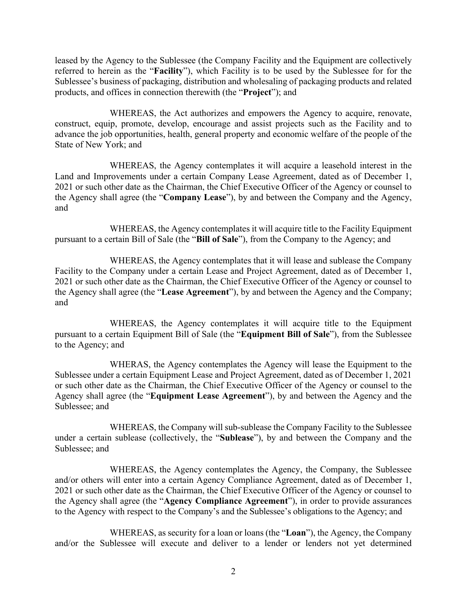leased by the Agency to the Sublessee (the Company Facility and the Equipment are collectively referred to herein as the "**Facility**"), which Facility is to be used by the Sublessee for for the Sublessee's business of packaging, distribution and wholesaling of packaging products and related products, and offices in connection therewith (the "**Project**"); and

 WHEREAS, the Act authorizes and empowers the Agency to acquire, renovate, construct, equip, promote, develop, encourage and assist projects such as the Facility and to advance the job opportunities, health, general property and economic welfare of the people of the State of New York; and

 WHEREAS, the Agency contemplates it will acquire a leasehold interest in the Land and Improvements under a certain Company Lease Agreement, dated as of December 1, 2021 or such other date as the Chairman, the Chief Executive Officer of the Agency or counsel to the Agency shall agree (the "**Company Lease**"), by and between the Company and the Agency, and

 WHEREAS, the Agency contemplates it will acquire title to the Facility Equipment pursuant to a certain Bill of Sale (the "**Bill of Sale**"), from the Company to the Agency; and

 WHEREAS, the Agency contemplates that it will lease and sublease the Company Facility to the Company under a certain Lease and Project Agreement, dated as of December 1, 2021 or such other date as the Chairman, the Chief Executive Officer of the Agency or counsel to the Agency shall agree (the "**Lease Agreement**"), by and between the Agency and the Company; and

WHEREAS, the Agency contemplates it will acquire title to the Equipment pursuant to a certain Equipment Bill of Sale (the "**Equipment Bill of Sale**"), from the Sublessee to the Agency; and

 WHERAS, the Agency contemplates the Agency will lease the Equipment to the Sublessee under a certain Equipment Lease and Project Agreement, dated as of December 1, 2021 or such other date as the Chairman, the Chief Executive Officer of the Agency or counsel to the Agency shall agree (the "**Equipment Lease Agreement**"), by and between the Agency and the Sublessee; and

 WHEREAS, the Company will sub-sublease the Company Facility to the Sublessee under a certain sublease (collectively, the "**Sublease**"), by and between the Company and the Sublessee; and

 WHEREAS, the Agency contemplates the Agency, the Company, the Sublessee and/or others will enter into a certain Agency Compliance Agreement, dated as of December 1, 2021 or such other date as the Chairman, the Chief Executive Officer of the Agency or counsel to the Agency shall agree (the "**Agency Compliance Agreement**"), in order to provide assurances to the Agency with respect to the Company's and the Sublessee's obligations to the Agency; and

 WHEREAS, as security for a loan or loans (the "**Loan**"), the Agency, the Company and/or the Sublessee will execute and deliver to a lender or lenders not yet determined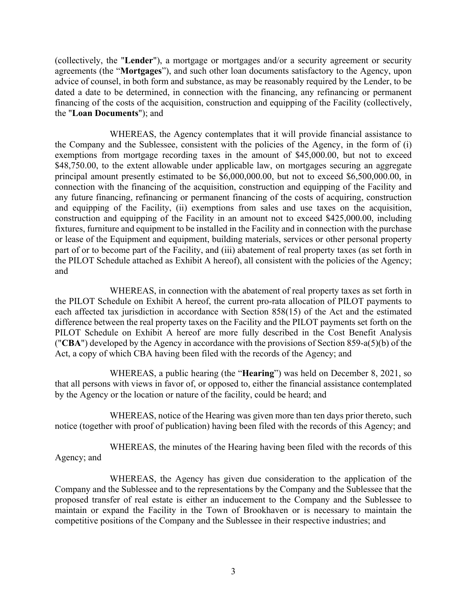(collectively, the "**Lender**"), a mortgage or mortgages and/or a security agreement or security agreements (the "**Mortgages**"), and such other loan documents satisfactory to the Agency, upon advice of counsel, in both form and substance, as may be reasonably required by the Lender, to be dated a date to be determined, in connection with the financing, any refinancing or permanent financing of the costs of the acquisition, construction and equipping of the Facility (collectively, the "**Loan Documents**"); and

WHEREAS, the Agency contemplates that it will provide financial assistance to the Company and the Sublessee, consistent with the policies of the Agency, in the form of (i) exemptions from mortgage recording taxes in the amount of \$45,000.00, but not to exceed \$48,750.00, to the extent allowable under applicable law, on mortgages securing an aggregate principal amount presently estimated to be \$6,000,000.00, but not to exceed \$6,500,000.00, in connection with the financing of the acquisition, construction and equipping of the Facility and any future financing, refinancing or permanent financing of the costs of acquiring, construction and equipping of the Facility, (ii) exemptions from sales and use taxes on the acquisition, construction and equipping of the Facility in an amount not to exceed \$425,000.00, including fixtures, furniture and equipment to be installed in the Facility and in connection with the purchase or lease of the Equipment and equipment, building materials, services or other personal property part of or to become part of the Facility, and (iii) abatement of real property taxes (as set forth in the PILOT Schedule attached as Exhibit A hereof), all consistent with the policies of the Agency; and

WHEREAS, in connection with the abatement of real property taxes as set forth in the PILOT Schedule on Exhibit A hereof, the current pro-rata allocation of PILOT payments to each affected tax jurisdiction in accordance with Section 858(15) of the Act and the estimated difference between the real property taxes on the Facility and the PILOT payments set forth on the PILOT Schedule on Exhibit A hereof are more fully described in the Cost Benefit Analysis ("**CBA**") developed by the Agency in accordance with the provisions of Section 859-a(5)(b) of the Act, a copy of which CBA having been filed with the records of the Agency; and

 WHEREAS, a public hearing (the "**Hearing**") was held on December 8, 2021, so that all persons with views in favor of, or opposed to, either the financial assistance contemplated by the Agency or the location or nature of the facility, could be heard; and

 WHEREAS, notice of the Hearing was given more than ten days prior thereto, such notice (together with proof of publication) having been filed with the records of this Agency; and

 WHEREAS, the minutes of the Hearing having been filed with the records of this Agency; and

 WHEREAS, the Agency has given due consideration to the application of the Company and the Sublessee and to the representations by the Company and the Sublessee that the proposed transfer of real estate is either an inducement to the Company and the Sublessee to maintain or expand the Facility in the Town of Brookhaven or is necessary to maintain the competitive positions of the Company and the Sublessee in their respective industries; and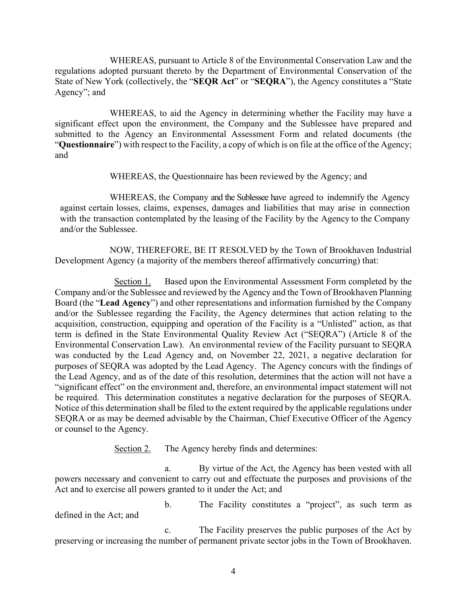WHEREAS, pursuant to Article 8 of the Environmental Conservation Law and the regulations adopted pursuant thereto by the Department of Environmental Conservation of the State of New York (collectively, the "**SEQR Act**" or "**SEQRA**"), the Agency constitutes a "State Agency"; and

 WHEREAS, to aid the Agency in determining whether the Facility may have a significant effect upon the environment, the Company and the Sublessee have prepared and submitted to the Agency an Environmental Assessment Form and related documents (the "**Questionnaire**") with respect to the Facility, a copy of which is on file at the office of the Agency; and

WHEREAS, the Questionnaire has been reviewed by the Agency; and

 WHEREAS, the Company and the Sublessee have agreed to indemnify the Agency against certain losses, claims, expenses, damages and liabilities that may arise in connection with the transaction contemplated by the leasing of the Facility by the Agency to the Company and/or the Sublessee.

 NOW, THEREFORE, BE IT RESOLVED by the Town of Brookhaven Industrial Development Agency (a majority of the members thereof affirmatively concurring) that:

Section 1. Based upon the Environmental Assessment Form completed by the Company and/or the Sublessee and reviewed by the Agency and the Town of Brookhaven Planning Board (the "**Lead Agency**") and other representations and information furnished by the Company and/or the Sublessee regarding the Facility, the Agency determines that action relating to the acquisition, construction, equipping and operation of the Facility is a "Unlisted" action, as that term is defined in the State Environmental Quality Review Act ("SEQRA") (Article 8 of the Environmental Conservation Law). An environmental review of the Facility pursuant to SEQRA was conducted by the Lead Agency and, on November 22, 2021, a negative declaration for purposes of SEQRA was adopted by the Lead Agency. The Agency concurs with the findings of the Lead Agency, and as of the date of this resolution, determines that the action will not have a "significant effect" on the environment and, therefore, an environmental impact statement will not be required. This determination constitutes a negative declaration for the purposes of SEQRA. Notice of this determination shall be filed to the extent required by the applicable regulations under SEQRA or as may be deemed advisable by the Chairman, Chief Executive Officer of the Agency or counsel to the Agency.

Section 2. The Agency hereby finds and determines:

a. By virtue of the Act, the Agency has been vested with all powers necessary and convenient to carry out and effectuate the purposes and provisions of the Act and to exercise all powers granted to it under the Act; and

b. The Facility constitutes a "project", as such term as defined in the Act; and

c. The Facility preserves the public purposes of the Act by preserving or increasing the number of permanent private sector jobs in the Town of Brookhaven.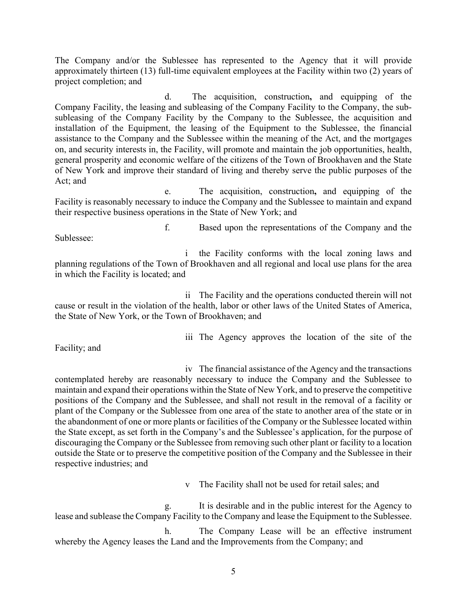The Company and/or the Sublessee has represented to the Agency that it will provide approximately thirteen (13) full-time equivalent employees at the Facility within two (2) years of project completion; and

d. The acquisition, construction**,** and equipping of the Company Facility, the leasing and subleasing of the Company Facility to the Company, the subsubleasing of the Company Facility by the Company to the Sublessee, the acquisition and installation of the Equipment, the leasing of the Equipment to the Sublessee, the financial assistance to the Company and the Sublessee within the meaning of the Act, and the mortgages on, and security interests in, the Facility, will promote and maintain the job opportunities, health, general prosperity and economic welfare of the citizens of the Town of Brookhaven and the State of New York and improve their standard of living and thereby serve the public purposes of the Act; and

e. The acquisition, construction**,** and equipping of the Facility is reasonably necessary to induce the Company and the Sublessee to maintain and expand their respective business operations in the State of New York; and

f. Based upon the representations of the Company and the Sublessee:

i the Facility conforms with the local zoning laws and planning regulations of the Town of Brookhaven and all regional and local use plans for the area in which the Facility is located; and

ii The Facility and the operations conducted therein will not cause or result in the violation of the health, labor or other laws of the United States of America, the State of New York, or the Town of Brookhaven; and

Facility; and

iii The Agency approves the location of the site of the

iv The financial assistance of the Agency and the transactions contemplated hereby are reasonably necessary to induce the Company and the Sublessee to maintain and expand their operations within the State of New York, and to preserve the competitive positions of the Company and the Sublessee, and shall not result in the removal of a facility or plant of the Company or the Sublessee from one area of the state to another area of the state or in the abandonment of one or more plants or facilities of the Company or the Sublessee located within the State except, as set forth in the Company's and the Sublessee's application, for the purpose of discouraging the Company or the Sublessee from removing such other plant or facility to a location outside the State or to preserve the competitive position of the Company and the Sublessee in their respective industries; and

v The Facility shall not be used for retail sales; and

g. It is desirable and in the public interest for the Agency to lease and sublease the Company Facility to the Company and lease the Equipment to the Sublessee.

h. The Company Lease will be an effective instrument whereby the Agency leases the Land and the Improvements from the Company; and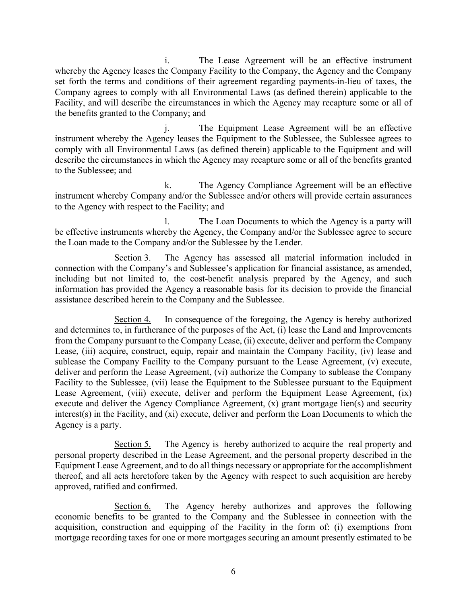i. The Lease Agreement will be an effective instrument whereby the Agency leases the Company Facility to the Company, the Agency and the Company set forth the terms and conditions of their agreement regarding payments-in-lieu of taxes, the Company agrees to comply with all Environmental Laws (as defined therein) applicable to the Facility, and will describe the circumstances in which the Agency may recapture some or all of the benefits granted to the Company; and

j. The Equipment Lease Agreement will be an effective instrument whereby the Agency leases the Equipment to the Sublessee, the Sublessee agrees to comply with all Environmental Laws (as defined therein) applicable to the Equipment and will describe the circumstances in which the Agency may recapture some or all of the benefits granted to the Sublessee; and

k. The Agency Compliance Agreement will be an effective instrument whereby Company and/or the Sublessee and/or others will provide certain assurances to the Agency with respect to the Facility; and

l. The Loan Documents to which the Agency is a party will be effective instruments whereby the Agency, the Company and/or the Sublessee agree to secure the Loan made to the Company and/or the Sublessee by the Lender.

Section 3. The Agency has assessed all material information included in connection with the Company's and Sublessee's application for financial assistance, as amended, including but not limited to, the cost-benefit analysis prepared by the Agency, and such information has provided the Agency a reasonable basis for its decision to provide the financial assistance described herein to the Company and the Sublessee.

Section 4. In consequence of the foregoing, the Agency is hereby authorized and determines to, in furtherance of the purposes of the Act, (i) lease the Land and Improvements from the Company pursuant to the Company Lease, (ii) execute, deliver and perform the Company Lease, (iii) acquire, construct, equip, repair and maintain the Company Facility, (iv) lease and sublease the Company Facility to the Company pursuant to the Lease Agreement, (v) execute, deliver and perform the Lease Agreement, (vi) authorize the Company to sublease the Company Facility to the Sublessee, (vii) lease the Equipment to the Sublessee pursuant to the Equipment Lease Agreement, (viii) execute, deliver and perform the Equipment Lease Agreement, (ix) execute and deliver the Agency Compliance Agreement, (x) grant mortgage lien(s) and security interest(s) in the Facility, and (xi) execute, deliver and perform the Loan Documents to which the Agency is a party.

Section 5. The Agency is hereby authorized to acquire the real property and personal property described in the Lease Agreement, and the personal property described in the Equipment Lease Agreement, and to do all things necessary or appropriate for the accomplishment thereof, and all acts heretofore taken by the Agency with respect to such acquisition are hereby approved, ratified and confirmed.

Section 6. The Agency hereby authorizes and approves the following economic benefits to be granted to the Company and the Sublessee in connection with the acquisition, construction and equipping of the Facility in the form of: (i) exemptions from mortgage recording taxes for one or more mortgages securing an amount presently estimated to be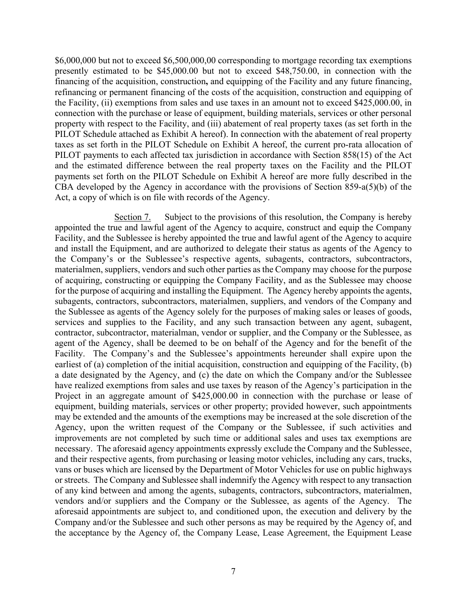\$6,000,000 but not to exceed \$6,500,000,00 corresponding to mortgage recording tax exemptions presently estimated to be \$45,000.00 but not to exceed \$48,750.00, in connection with the financing of the acquisition, construction**,** and equipping of the Facility and any future financing, refinancing or permanent financing of the costs of the acquisition, construction and equipping of the Facility, (ii) exemptions from sales and use taxes in an amount not to exceed \$425,000.00, in connection with the purchase or lease of equipment, building materials, services or other personal property with respect to the Facility, and (iii) abatement of real property taxes (as set forth in the PILOT Schedule attached as Exhibit A hereof). In connection with the abatement of real property taxes as set forth in the PILOT Schedule on Exhibit A hereof, the current pro-rata allocation of PILOT payments to each affected tax jurisdiction in accordance with Section 858(15) of the Act and the estimated difference between the real property taxes on the Facility and the PILOT payments set forth on the PILOT Schedule on Exhibit A hereof are more fully described in the CBA developed by the Agency in accordance with the provisions of Section 859-a(5)(b) of the Act, a copy of which is on file with records of the Agency.

Section 7. Subject to the provisions of this resolution, the Company is hereby appointed the true and lawful agent of the Agency to acquire, construct and equip the Company Facility, and the Sublessee is hereby appointed the true and lawful agent of the Agency to acquire and install the Equipment, and are authorized to delegate their status as agents of the Agency to the Company's or the Sublessee's respective agents, subagents, contractors, subcontractors, materialmen, suppliers, vendors and such other parties as the Company may choose for the purpose of acquiring, constructing or equipping the Company Facility, and as the Sublessee may choose for the purpose of acquiring and installing the Equipment. The Agency hereby appoints the agents, subagents, contractors, subcontractors, materialmen, suppliers, and vendors of the Company and the Sublessee as agents of the Agency solely for the purposes of making sales or leases of goods, services and supplies to the Facility, and any such transaction between any agent, subagent, contractor, subcontractor, materialman, vendor or supplier, and the Company or the Sublessee, as agent of the Agency, shall be deemed to be on behalf of the Agency and for the benefit of the Facility. The Company's and the Sublessee's appointments hereunder shall expire upon the earliest of (a) completion of the initial acquisition, construction and equipping of the Facility, (b) a date designated by the Agency, and (c) the date on which the Company and/or the Sublessee have realized exemptions from sales and use taxes by reason of the Agency's participation in the Project in an aggregate amount of \$425,000.00 in connection with the purchase or lease of equipment, building materials, services or other property; provided however, such appointments may be extended and the amounts of the exemptions may be increased at the sole discretion of the Agency, upon the written request of the Company or the Sublessee, if such activities and improvements are not completed by such time or additional sales and uses tax exemptions are necessary. The aforesaid agency appointments expressly exclude the Company and the Sublessee, and their respective agents, from purchasing or leasing motor vehicles, including any cars, trucks, vans or buses which are licensed by the Department of Motor Vehicles for use on public highways or streets. The Company and Sublessee shall indemnify the Agency with respect to any transaction of any kind between and among the agents, subagents, contractors, subcontractors, materialmen, vendors and/or suppliers and the Company or the Sublessee, as agents of the Agency. The aforesaid appointments are subject to, and conditioned upon, the execution and delivery by the Company and/or the Sublessee and such other persons as may be required by the Agency of, and the acceptance by the Agency of, the Company Lease, Lease Agreement, the Equipment Lease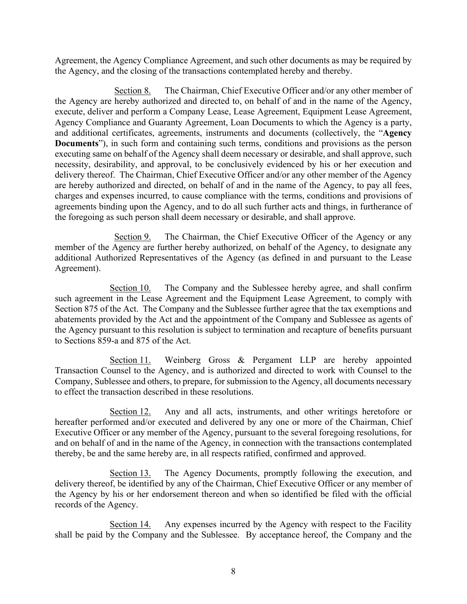Agreement, the Agency Compliance Agreement, and such other documents as may be required by the Agency, and the closing of the transactions contemplated hereby and thereby.

Section 8. The Chairman, Chief Executive Officer and/or any other member of the Agency are hereby authorized and directed to, on behalf of and in the name of the Agency, execute, deliver and perform a Company Lease, Lease Agreement, Equipment Lease Agreement, Agency Compliance and Guaranty Agreement, Loan Documents to which the Agency is a party, and additional certificates, agreements, instruments and documents (collectively, the "**Agency Documents**"), in such form and containing such terms, conditions and provisions as the person executing same on behalf of the Agency shall deem necessary or desirable, and shall approve, such necessity, desirability, and approval, to be conclusively evidenced by his or her execution and delivery thereof. The Chairman, Chief Executive Officer and/or any other member of the Agency are hereby authorized and directed, on behalf of and in the name of the Agency, to pay all fees, charges and expenses incurred, to cause compliance with the terms, conditions and provisions of agreements binding upon the Agency, and to do all such further acts and things, in furtherance of the foregoing as such person shall deem necessary or desirable, and shall approve.

Section 9. The Chairman, the Chief Executive Officer of the Agency or any member of the Agency are further hereby authorized, on behalf of the Agency, to designate any additional Authorized Representatives of the Agency (as defined in and pursuant to the Lease Agreement).

Section 10. The Company and the Sublessee hereby agree, and shall confirm such agreement in the Lease Agreement and the Equipment Lease Agreement, to comply with Section 875 of the Act. The Company and the Sublessee further agree that the tax exemptions and abatements provided by the Act and the appointment of the Company and Sublessee as agents of the Agency pursuant to this resolution is subject to termination and recapture of benefits pursuant to Sections 859-a and 875 of the Act.

Section 11. Weinberg Gross & Pergament LLP are hereby appointed Transaction Counsel to the Agency, and is authorized and directed to work with Counsel to the Company, Sublessee and others, to prepare, for submission to the Agency, all documents necessary to effect the transaction described in these resolutions.

Section 12. Any and all acts, instruments, and other writings heretofore or hereafter performed and/or executed and delivered by any one or more of the Chairman, Chief Executive Officer or any member of the Agency, pursuant to the several foregoing resolutions, for and on behalf of and in the name of the Agency, in connection with the transactions contemplated thereby, be and the same hereby are, in all respects ratified, confirmed and approved.

Section 13. The Agency Documents, promptly following the execution, and delivery thereof, be identified by any of the Chairman, Chief Executive Officer or any member of the Agency by his or her endorsement thereon and when so identified be filed with the official records of the Agency.

Section 14. Any expenses incurred by the Agency with respect to the Facility shall be paid by the Company and the Sublessee. By acceptance hereof, the Company and the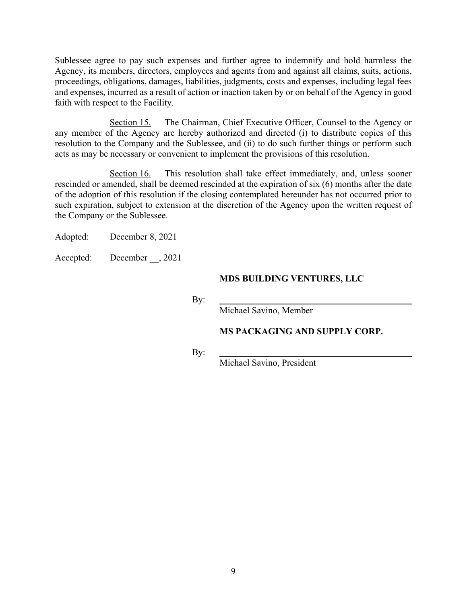Sublessee agree to pay such expenses and further agree to indemnify and hold harmless the Agency, its members, directors, employees and agents from and against all claims, suits, actions, proceedings, obligations, damages, liabilities, judgments, costs and expenses, including legal fees and expenses, incurred as a result of action or inaction taken by or on behalf of the Agency in good faith with respect to the Facility.

Section 15. The Chairman, Chief Executive Officer, Counsel to the Agency or any member of the Agency are hereby authorized and directed (i) to distribute copies of this resolution to the Company and the Sublessee, and (ii) to do such further things or perform such acts as may be necessary or convenient to implement the provisions of this resolution.

Section 16. This resolution shall take effect immediately, and, unless sooner rescinded or amended, shall be deemed rescinded at the expiration of six (6) months after the date of the adoption of this resolution if the closing contemplated hereunder has not occurred prior to such expiration, subject to extension at the discretion of the Agency upon the written request of the Company or the Sublessee.

Adopted: December 8, 2021

Accepted: December , 2021

## **MDS BUILDING VENTURES, LLC**

By:

Michael Savino, Member

## **MS PACKAGING AND SUPPLY CORP.**

By:

Michael Savino, President